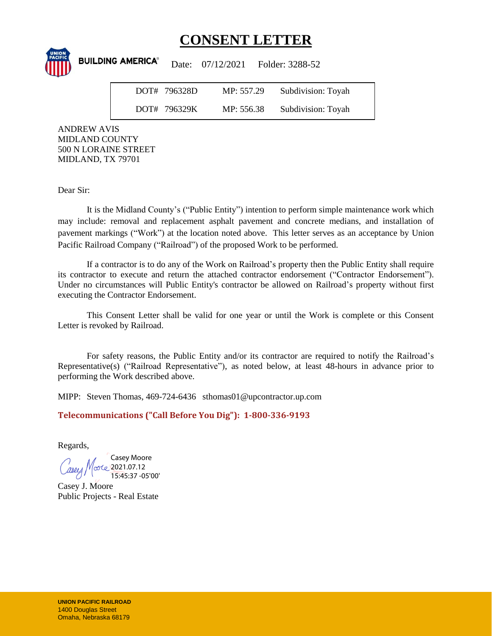## **CONSENT LETTER**

**BUILDING AMERICA®** Date: 07/12/2021 Folder: 3288-52 DOT# 796328D MP: 557.29 Subdivision: Toyah DOT# 796329K MP: 556.38 Subdivision: Toyah

ANDREW AVIS MIDLAND COUNTY 500 N LORAINE STREET MIDLAND, TX 79701

Dear Sir:

It is the Midland County's ("Public Entity") intention to perform simple maintenance work which may include: removal and replacement asphalt pavement and concrete medians, and installation of pavement markings ("Work") at the location noted above. This letter serves as an acceptance by Union Pacific Railroad Company ("Railroad") of the proposed Work to be performed.

If a contractor is to do any of the Work on Railroad's property then the Public Entity shall require its contractor to execute and return the attached contractor endorsement ("Contractor Endorsement"). Under no circumstances will Public Entity's contractor be allowed on Railroad's property without first executing the Contractor Endorsement.

This Consent Letter shall be valid for one year or until the Work is complete or this Consent Letter is revoked by Railroad.

For safety reasons, the Public Entity and/or its contractor are required to notify the Railroad's Representative(s) ("Railroad Representative"), as noted below, at least 48-hours in advance prior to performing the Work described above.

MIPP: Steven Thomas, 469-724-6436 sthomas01@upcontractor.up.com

**Telecommunications ("Call Before You Dig"): 1-800-336-9193**

Regards,

Casey Moore orte 2021.07.12 15:45:37 -05'00'

Casey J. Moore Public Projects - Real Estate